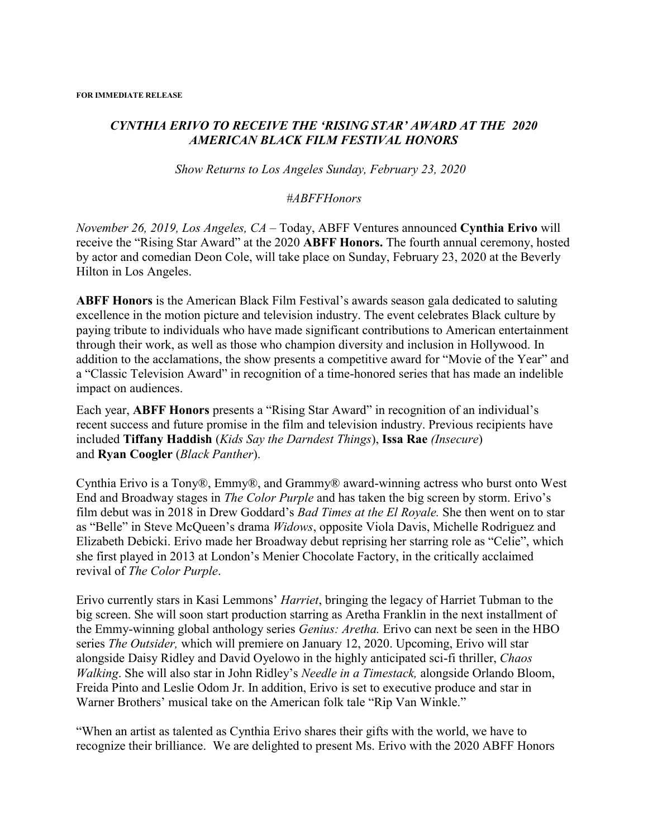## *CYNTHIA ERIVO TO RECEIVE THE 'RISING STAR' AWARD AT THE 2020 AMERICAN BLACK FILM FESTIVAL HONORS*

*Show Returns to Los Angeles Sunday, February 23, 2020* 

## *#ABFFHonors*

*November 26, 2019, Los Angeles, CA* – Today, ABFF Ventures announced **Cynthia Erivo** will receive the "Rising Star Award" at the 2020 **ABFF Honors.** The fourth annual ceremony, hosted by actor and comedian Deon Cole, will take place on Sunday, February 23, 2020 at the Beverly Hilton in Los Angeles.

**ABFF Honors** is the American Black Film Festival's awards season gala dedicated to saluting excellence in the motion picture and television industry. The event celebrates Black culture by paying tribute to individuals who have made significant contributions to American entertainment through their work, as well as those who champion diversity and inclusion in Hollywood. In addition to the acclamations, the show presents a competitive award for "Movie of the Year" and a "Classic Television Award" in recognition of a time-honored series that has made an indelible impact on audiences.

Each year, **ABFF Honors** presents a "Rising Star Award" in recognition of an individual's recent success and future promise in the film and television industry. Previous recipients have included **Tiffany Haddish** (*Kids Say the Darndest Things*), **Issa Rae** *(Insecure*) and **Ryan Coogler** (*Black Panther*).

Cynthia Erivo is a Tony®, Emmy®, and Grammy® award-winning actress who burst onto West End and Broadway stages in *The Color Purple* and has taken the big screen by storm. Erivo's film debut was in 2018 in Drew Goddard's *Bad Times at the El Royale.* She then went on to star as "Belle" in Steve McQueen's drama *Widows*, opposite Viola Davis, Michelle Rodriguez and Elizabeth Debicki. Erivo made her Broadway debut reprising her starring role as "Celie", which she first played in 2013 at London's Menier Chocolate Factory, in the critically acclaimed revival of *The Color Purple*.

Erivo currently stars in Kasi Lemmons' *Harriet*, bringing the legacy of Harriet Tubman to the big screen. She will soon start production starring as Aretha Franklin in the next installment of the Emmy-winning global anthology series *Genius: Aretha.* Erivo can next be seen in the HBO series *The Outsider,* which will premiere on January 12, 2020. Upcoming, Erivo will star alongside Daisy Ridley and David Oyelowo in the highly anticipated sci-fi thriller, *Chaos Walking*. She will also star in John Ridley's *Needle in a Timestack,* alongside Orlando Bloom, Freida Pinto and Leslie Odom Jr. In addition, Erivo is set to executive produce and star in Warner Brothers' musical take on the American folk tale "Rip Van Winkle."

"When an artist as talented as Cynthia Erivo shares their gifts with the world, we have to recognize their brilliance. We are delighted to present Ms. Erivo with the 2020 ABFF Honors